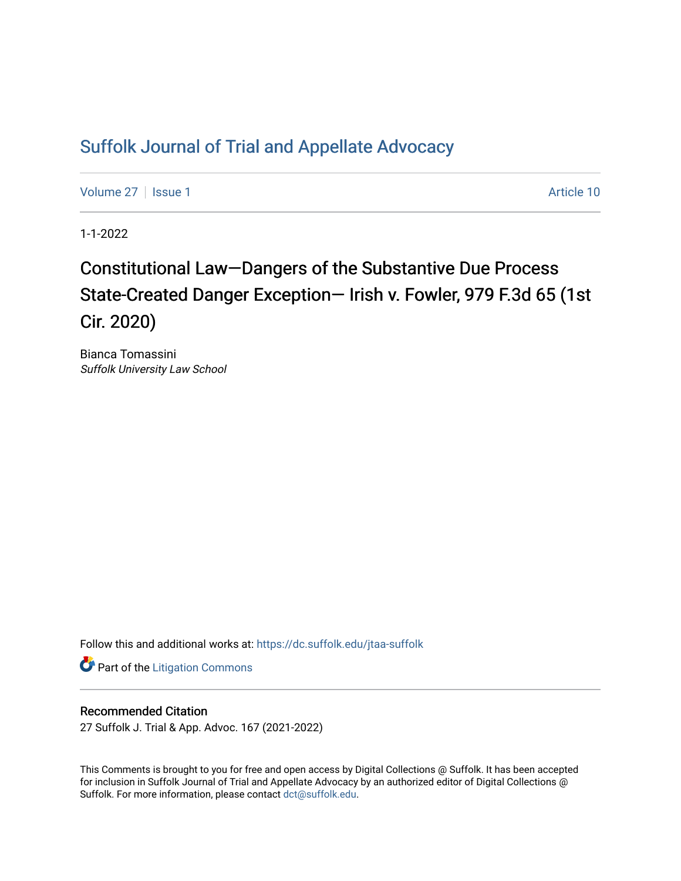## [Suffolk Journal of Trial and Appellate Advocacy](https://dc.suffolk.edu/jtaa-suffolk)

[Volume 27](https://dc.suffolk.edu/jtaa-suffolk/vol27) | [Issue 1](https://dc.suffolk.edu/jtaa-suffolk/vol27/iss1) Article 10

1-1-2022

# Constitutional Law—Dangers of the Substantive Due Process State-Created Danger Exception— Irish v. Fowler, 979 F.3d 65 (1st Cir. 2020)

Bianca Tomassini Suffolk University Law School

Follow this and additional works at: [https://dc.suffolk.edu/jtaa-suffolk](https://dc.suffolk.edu/jtaa-suffolk?utm_source=dc.suffolk.edu%2Fjtaa-suffolk%2Fvol27%2Fiss1%2F10&utm_medium=PDF&utm_campaign=PDFCoverPages) 

**Part of the [Litigation Commons](https://network.bepress.com/hgg/discipline/910?utm_source=dc.suffolk.edu%2Fjtaa-suffolk%2Fvol27%2Fiss1%2F10&utm_medium=PDF&utm_campaign=PDFCoverPages)** 

#### Recommended Citation

27 Suffolk J. Trial & App. Advoc. 167 (2021-2022)

This Comments is brought to you for free and open access by Digital Collections @ Suffolk. It has been accepted for inclusion in Suffolk Journal of Trial and Appellate Advocacy by an authorized editor of Digital Collections @ Suffolk. For more information, please contact [dct@suffolk.edu.](mailto:dct@suffolk.edu)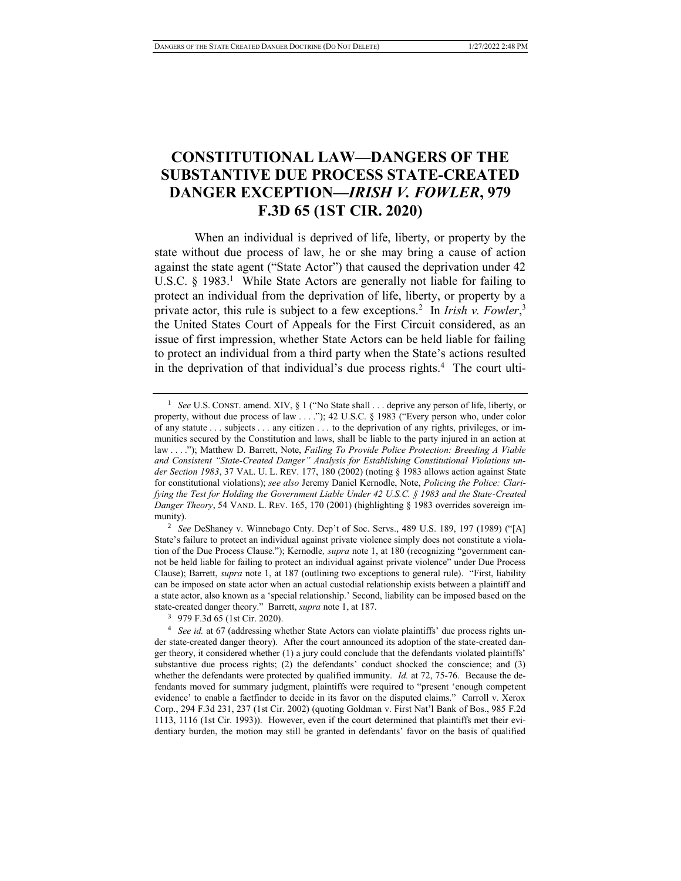### **CONSTITUTIONAL LAW—DANGERS OF THE SUBSTANTIVE DUE PROCESS STATE-CREATED DANGER EXCEPTION—***IRISH V. FOWLER***, 979 F.3D 65 (1ST CIR. 2020)**

When an individual is deprived of life, liberty, or property by the state without due process of law, he or she may bring a cause of action against the state agent ("State Actor") that caused the deprivation under 42 U.S.C.  $\S$  1983.<sup>1</sup> While State Actors are generally not liable for failing to protect an individual from the deprivation of life, liberty, or property by a private actor, this rule is subject to a few exceptions.<sup>2</sup> In *Irish v. Fowler*,<sup>3</sup> the United States Court of Appeals for the First Circuit considered, as an issue of first impression, whether State Actors can be held liable for failing to protect an individual from a third party when the State's actions resulted in the deprivation of that individual's due process rights.<sup>4</sup> The court ulti-

<sup>&</sup>lt;sup>1</sup> *See* U.S. CONST. amend. XIV, § 1 ("No State shall . . . deprive any person of life, liberty, or property, without due process of law . . . ."); 42 U.S.C. § 1983 ("Every person who, under color of any statute . . . subjects . . . any citizen . . . to the deprivation of any rights, privileges, or immunities secured by the Constitution and laws, shall be liable to the party injured in an action at law . . . ."); Matthew D. Barrett, Note, *Failing To Provide Police Protection: Breeding A Viable and Consistent "State-Created Danger" Analysis for Establishing Constitutional Violations under Section 1983*, 37 VAL. U. L. REV. 177, 180 (2002) (noting § 1983 allows action against State for constitutional violations); *see also* Jeremy Daniel Kernodle, Note, *Policing the Police: Clarifying the Test for Holding the Government Liable Under 42 U.S.C. § 1983 and the State-Created Danger Theory*, 54 VAND. L. REV. 165, 170 (2001) (highlighting § 1983 overrides sovereign immunity).

<sup>2</sup> *See* DeShaney v. Winnebago Cnty. Dep't of Soc. Servs., 489 U.S. 189, 197 (1989) ("[A] State's failure to protect an individual against private violence simply does not constitute a violation of the Due Process Clause."); Kernodle*, supra* note 1, at 180 (recognizing "government cannot be held liable for failing to protect an individual against private violence" under Due Process Clause); Barrett, *supra* note 1, at 187 (outlining two exceptions to general rule). "First, liability can be imposed on state actor when an actual custodial relationship exists between a plaintiff and a state actor, also known as a 'special relationship.' Second, liability can be imposed based on the state-created danger theory." Barrett, *supra* note 1, at 187.

<sup>3</sup> 979 F.3d 65 (1st Cir. 2020).

<sup>4</sup> *See id.* at 67 (addressing whether State Actors can violate plaintiffs' due process rights under state-created danger theory). After the court announced its adoption of the state-created danger theory, it considered whether (1) a jury could conclude that the defendants violated plaintiffs' substantive due process rights; (2) the defendants' conduct shocked the conscience; and (3) whether the defendants were protected by qualified immunity. *Id.* at 72, 75-76. Because the defendants moved for summary judgment, plaintiffs were required to "present 'enough competent evidence' to enable a factfinder to decide in its favor on the disputed claims." Carroll v. Xerox Corp., 294 F.3d 231, 237 (1st Cir. 2002) (quoting Goldman v. First Nat'l Bank of Bos., 985 F.2d 1113, 1116 (1st Cir. 1993)). However, even if the court determined that plaintiffs met their evidentiary burden, the motion may still be granted in defendants' favor on the basis of qualified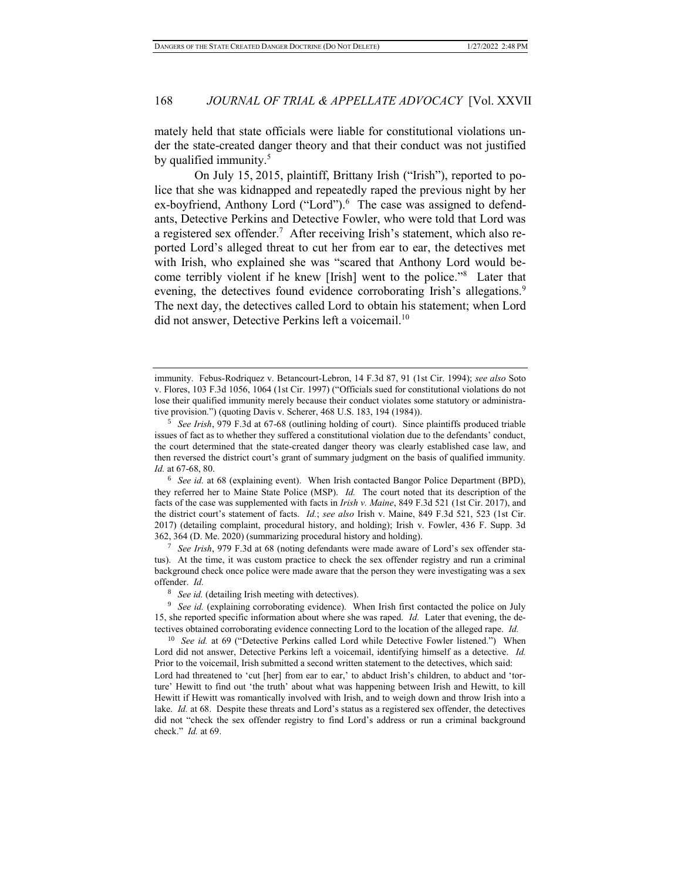mately held that state officials were liable for constitutional violations under the state-created danger theory and that their conduct was not justified by qualified immunity.<sup>5</sup>

On July 15, 2015, plaintiff, Brittany Irish ("Irish"), reported to police that she was kidnapped and repeatedly raped the previous night by her ex-boyfriend, Anthony Lord ("Lord").<sup>6</sup> The case was assigned to defendants, Detective Perkins and Detective Fowler, who were told that Lord was a registered sex offender.<sup>7</sup> After receiving Irish's statement, which also reported Lord's alleged threat to cut her from ear to ear, the detectives met with Irish, who explained she was "scared that Anthony Lord would become terribly violent if he knew [Irish] went to the police."<sup>8</sup> Later that evening, the detectives found evidence corroborating Irish's allegations.<sup>9</sup> The next day, the detectives called Lord to obtain his statement; when Lord did not answer, Detective Perkins left a voicemail.<sup>10</sup>

<sup>6</sup> *See id.* at 68 (explaining event). When Irish contacted Bangor Police Department (BPD), they referred her to Maine State Police (MSP). *Id.* The court noted that its description of the facts of the case was supplemented with facts in *Irish v. Maine*, 849 F.3d 521 (1st Cir. 2017), and the district court's statement of facts. *Id.*; *see also* Irish v. Maine, 849 F.3d 521, 523 (1st Cir. 2017) (detailing complaint, procedural history, and holding); Irish v. Fowler, 436 F. Supp. 3d 362, 364 (D. Me. 2020) (summarizing procedural history and holding).

<sup>7</sup> *See Irish*, 979 F.3d at 68 (noting defendants were made aware of Lord's sex offender status). At the time, it was custom practice to check the sex offender registry and run a criminal background check once police were made aware that the person they were investigating was a sex offender. *Id.* 

See id. (detailing Irish meeting with detectives).

<sup>9</sup> *See id.* (explaining corroborating evidence). When Irish first contacted the police on July 15, she reported specific information about where she was raped. *Id.* Later that evening, the detectives obtained corroborating evidence connecting Lord to the location of the alleged rape. *Id.* 

<sup>10</sup> *See id.* at 69 ("Detective Perkins called Lord while Detective Fowler listened.") When Lord did not answer, Detective Perkins left a voicemail, identifying himself as a detective. *Id.* Prior to the voicemail, Irish submitted a second written statement to the detectives, which said: Lord had threatened to 'cut [her] from ear to ear,' to abduct Irish's children, to abduct and 'torture' Hewitt to find out 'the truth' about what was happening between Irish and Hewitt, to kill Hewitt if Hewitt was romantically involved with Irish, and to weigh down and throw Irish into a lake. *Id.* at 68.Despite these threats and Lord's status as a registered sex offender, the detectives did not "check the sex offender registry to find Lord's address or run a criminal background check." *Id.* at 69.

immunity. Febus-Rodriquez v. Betancourt-Lebron, 14 F.3d 87, 91 (1st Cir. 1994); *see also* Soto v. Flores, 103 F.3d 1056, 1064 (1st Cir. 1997) ("Officials sued for constitutional violations do not lose their qualified immunity merely because their conduct violates some statutory or administrative provision.") (quoting Davis v. Scherer, 468 U.S. 183, 194 (1984)).

<sup>5</sup> *See Irish*, 979 F.3d at 67-68 (outlining holding of court). Since plaintiffs produced triable issues of fact as to whether they suffered a constitutional violation due to the defendants' conduct, the court determined that the state-created danger theory was clearly established case law, and then reversed the district court's grant of summary judgment on the basis of qualified immunity. *Id.* at 67-68, 80.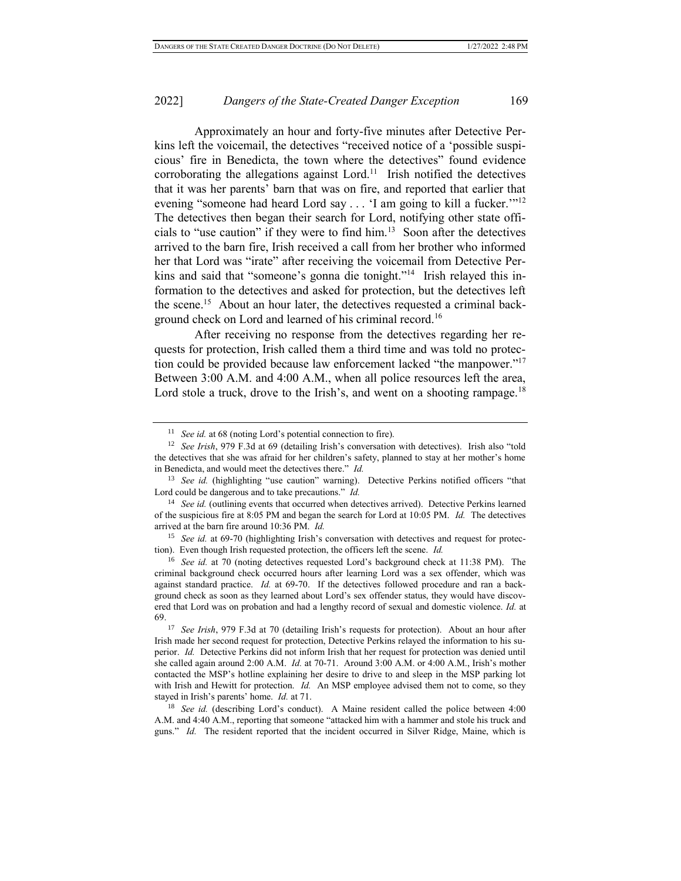Approximately an hour and forty-five minutes after Detective Perkins left the voicemail, the detectives "received notice of a 'possible suspicious' fire in Benedicta, the town where the detectives" found evidence corroborating the allegations against Lord.<sup>11</sup> Irish notified the detectives that it was her parents' barn that was on fire, and reported that earlier that evening "someone had heard Lord say . . . 'I am going to kill a fucker.'"<sup>12</sup> The detectives then began their search for Lord, notifying other state officials to "use caution" if they were to find  $\lim_{n \to \infty} 13$  Soon after the detectives arrived to the barn fire, Irish received a call from her brother who informed her that Lord was "irate" after receiving the voicemail from Detective Perkins and said that "someone's gonna die tonight."<sup>14</sup> Irish relayed this information to the detectives and asked for protection, but the detectives left the scene.<sup>15</sup> About an hour later, the detectives requested a criminal background check on Lord and learned of his criminal record.<sup>16</sup>

After receiving no response from the detectives regarding her requests for protection, Irish called them a third time and was told no protection could be provided because law enforcement lacked "the manpower."<sup>17</sup> Between 3:00 A.M. and 4:00 A.M., when all police resources left the area, Lord stole a truck, drove to the Irish's, and went on a shooting rampage.<sup>18</sup>

<sup>&</sup>lt;sup>11</sup> *See id.* at 68 (noting Lord's potential connection to fire).

<sup>12</sup> *See Irish*, 979 F.3d at 69 (detailing Irish's conversation with detectives). Irish also "told the detectives that she was afraid for her children's safety, planned to stay at her mother's home in Benedicta, and would meet the detectives there." *Id.* 

<sup>&</sup>lt;sup>13</sup> *See id.* (highlighting "use caution" warning). Detective Perkins notified officers "that Lord could be dangerous and to take precautions." *Id.*

<sup>&</sup>lt;sup>14</sup> *See id.* (outlining events that occurred when detectives arrived). Detective Perkins learned of the suspicious fire at 8:05 PM and began the search for Lord at 10:05 PM. *Id.* The detectives arrived at the barn fire around 10:36 PM. *Id.*

<sup>&</sup>lt;sup>15</sup> *See id.* at 69-70 (highlighting Irish's conversation with detectives and request for protection). Even though Irish requested protection, the officers left the scene. *Id.* 

<sup>16</sup> *See id.* at 70 (noting detectives requested Lord's background check at 11:38 PM). The criminal background check occurred hours after learning Lord was a sex offender, which was against standard practice. *Id.* at 69-70. If the detectives followed procedure and ran a background check as soon as they learned about Lord's sex offender status, they would have discovered that Lord was on probation and had a lengthy record of sexual and domestic violence. *Id.* at 69.

<sup>17</sup> *See Irish*, 979 F.3d at 70 (detailing Irish's requests for protection). About an hour after Irish made her second request for protection, Detective Perkins relayed the information to his superior. *Id.* Detective Perkins did not inform Irish that her request for protection was denied until she called again around 2:00 A.M. *Id.* at 70-71.Around 3:00 A.M. or 4:00 A.M., Irish's mother contacted the MSP's hotline explaining her desire to drive to and sleep in the MSP parking lot with Irish and Hewitt for protection. *Id.* An MSP employee advised them not to come, so they stayed in Irish's parents' home. *Id.* at 71.

<sup>&</sup>lt;sup>18</sup> *See id.* (describing Lord's conduct). A Maine resident called the police between 4:00 A.M. and 4:40 A.M., reporting that someone "attacked him with a hammer and stole his truck and guns." *Id.* The resident reported that the incident occurred in Silver Ridge, Maine, which is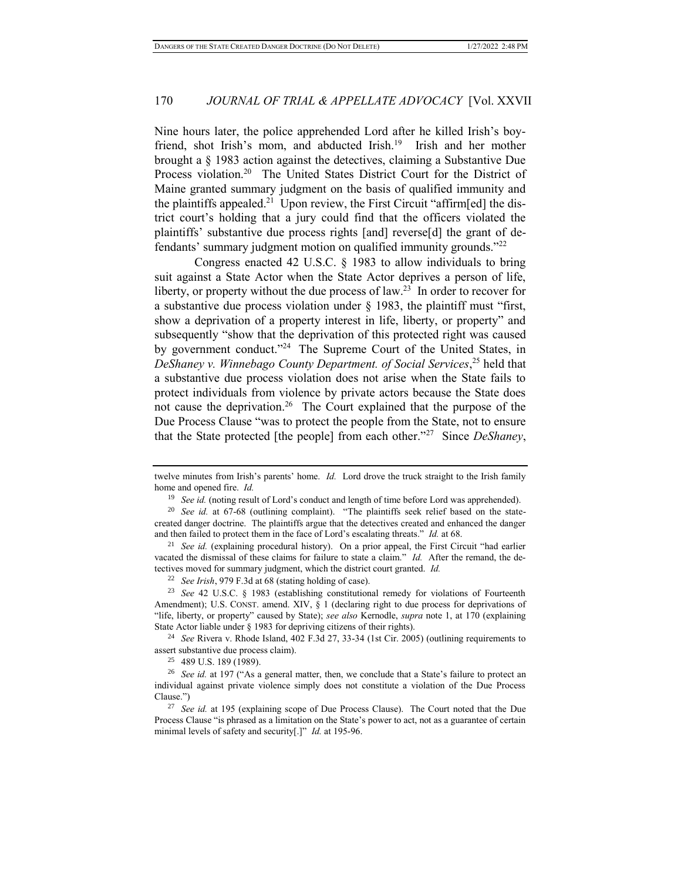Nine hours later, the police apprehended Lord after he killed Irish's boyfriend, shot Irish's mom, and abducted Irish.<sup>19</sup> Irish and her mother brought a § 1983 action against the detectives, claiming a Substantive Due Process violation.<sup>20</sup> The United States District Court for the District of Maine granted summary judgment on the basis of qualified immunity and the plaintiffs appealed.<sup>21</sup> Upon review, the First Circuit "affirm[ed] the district court's holding that a jury could find that the officers violated the plaintiffs' substantive due process rights [and] reverse[d] the grant of defendants' summary judgment motion on qualified immunity grounds."<sup>22</sup>

Congress enacted 42 U.S.C. § 1983 to allow individuals to bring suit against a State Actor when the State Actor deprives a person of life, liberty, or property without the due process of  $law<sup>23</sup>$  In order to recover for a substantive due process violation under  $\S$  1983, the plaintiff must "first, show a deprivation of a property interest in life, liberty, or property" and subsequently "show that the deprivation of this protected right was caused by government conduct."<sup>24</sup> The Supreme Court of the United States, in *DeShaney v. Winnebago County Department. of Social Services*, <sup>25</sup> held that a substantive due process violation does not arise when the State fails to protect individuals from violence by private actors because the State does not cause the deprivation.<sup>26</sup> The Court explained that the purpose of the Due Process Clause "was to protect the people from the State, not to ensure that the State protected [the people] from each other."<sup>27</sup> Since *DeShaney*,

<sup>24</sup> *See* Rivera v. Rhode Island, 402 F.3d 27, 33-34 (1st Cir. 2005) (outlining requirements to assert substantive due process claim).

<sup>25</sup> 489 U.S. 189 (1989).

twelve minutes from Irish's parents' home. *Id.* Lord drove the truck straight to the Irish family home and opened fire. *Id.*

<sup>&</sup>lt;sup>19</sup> *See id.* (noting result of Lord's conduct and length of time before Lord was apprehended).

<sup>20</sup> *See id.* at 67-68 (outlining complaint). "The plaintiffs seek relief based on the statecreated danger doctrine. The plaintiffs argue that the detectives created and enhanced the danger and then failed to protect them in the face of Lord's escalating threats." *Id.* at 68.

<sup>&</sup>lt;sup>21</sup> *See id.* (explaining procedural history). On a prior appeal, the First Circuit "had earlier vacated the dismissal of these claims for failure to state a claim." *Id.* After the remand, the detectives moved for summary judgment, which the district court granted. *Id.* 

<sup>22</sup> *See Irish*, 979 F.3d at 68 (stating holding of case).

<sup>23</sup> *See* 42 U.S.C. § 1983 (establishing constitutional remedy for violations of Fourteenth Amendment); U.S. CONST. amend. XIV, § 1 (declaring right to due process for deprivations of "life, liberty, or property" caused by State); *see also* Kernodle, *supra* note 1, at 170 (explaining State Actor liable under § 1983 for depriving citizens of their rights).

<sup>&</sup>lt;sup>26</sup> *See id.* at 197 ("As a general matter, then, we conclude that a State's failure to protect an individual against private violence simply does not constitute a violation of the Due Process Clause.")

<sup>27</sup> *See id.* at 195 (explaining scope of Due Process Clause). The Court noted that the Due Process Clause "is phrased as a limitation on the State's power to act, not as a guarantee of certain minimal levels of safety and security[.]" *Id.* at 195-96.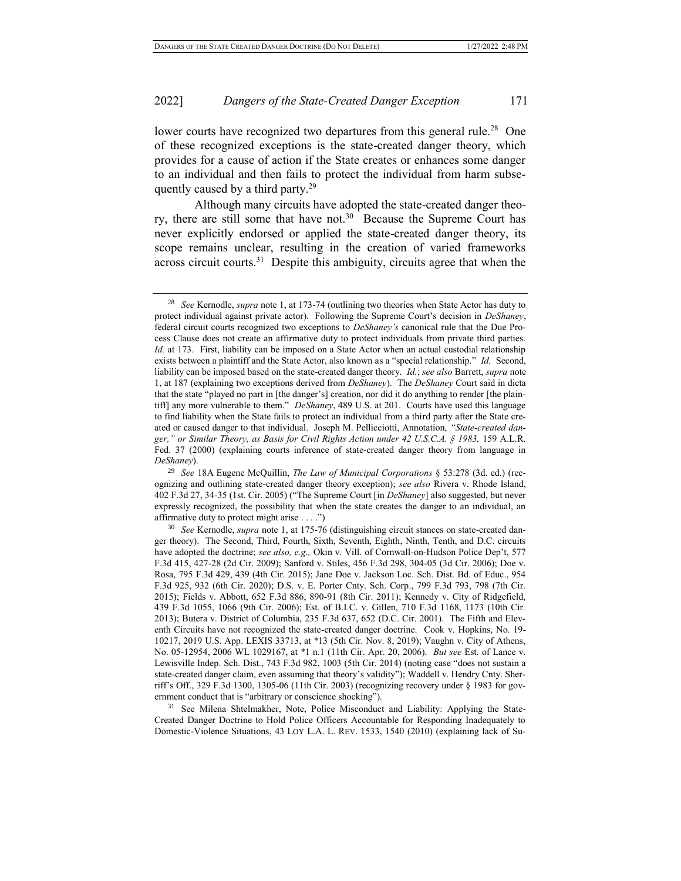lower courts have recognized two departures from this general rule.<sup>28</sup> One of these recognized exceptions is the state-created danger theory, which provides for a cause of action if the State creates or enhances some danger to an individual and then fails to protect the individual from harm subsequently caused by a third party.<sup>29</sup>

Although many circuits have adopted the state-created danger theory, there are still some that have not.<sup>30</sup> Because the Supreme Court has never explicitly endorsed or applied the state-created danger theory, its scope remains unclear, resulting in the creation of varied frameworks  $across$  circuit courts.<sup>31</sup> Despite this ambiguity, circuits agree that when the

<sup>28</sup> *See* Kernodle, *supra* note 1, at 173-74 (outlining two theories when State Actor has duty to protect individual against private actor). Following the Supreme Court's decision in *DeShaney*, federal circuit courts recognized two exceptions to *DeShaney's* canonical rule that the Due Process Clause does not create an affirmative duty to protect individuals from private third parties. *Id.* at 173. First, liability can be imposed on a State Actor when an actual custodial relationship exists between a plaintiff and the State Actor, also known as a "special relationship." *Id.* Second, liability can be imposed based on the state-created danger theory. *Id.*; *see also* Barrett, *supra* note 1, at 187 (explaining two exceptions derived from *DeShaney*). The *DeShaney* Court said in dicta that the state "played no part in [the danger's] creation, nor did it do anything to render [the plaintiff] any more vulnerable to them." *DeShaney*, 489 U.S. at 201. Courts have used this language to find liability when the State fails to protect an individual from a third party after the State created or caused danger to that individual. Joseph M. Pellicciotti, Annotation, *"State-created danger," or Similar Theory, as Basis for Civil Rights Action under 42 U.S.C.A. § 1983,* 159 A.L.R. Fed. 37 (2000) (explaining courts inference of state-created danger theory from language in *DeShaney*).

<sup>29</sup> *See* 18A Eugene McQuillin, *The Law of Municipal Corporations* § 53:278 (3d. ed.) (recognizing and outlining state-created danger theory exception); *see also* Rivera v. Rhode Island, 402 F.3d 27, 34-35 (1st. Cir. 2005) ("The Supreme Court [in *DeShaney*] also suggested, but never expressly recognized, the possibility that when the state creates the danger to an individual, an affirmative duty to protect might arise . . . .")

<sup>30</sup> *See* Kernodle, *supra* note 1, at 175-76 (distinguishing circuit stances on state-created danger theory). The Second, Third, Fourth, Sixth, Seventh, Eighth, Ninth, Tenth, and D.C. circuits have adopted the doctrine; *see also, e.g.,* Okin v. Vill. of Cornwall-on-Hudson Police Dep't, 577 F.3d 415, 427-28 (2d Cir. 2009); Sanford v. Stiles, 456 F.3d 298, 304-05 (3d Cir. 2006); Doe v. Rosa, 795 F.3d 429, 439 (4th Cir. 2015); Jane Doe v. Jackson Loc. Sch. Dist. Bd. of Educ., 954 F.3d 925, 932 (6th Cir. 2020); D.S. v. E. Porter Cnty. Sch. Corp., 799 F.3d 793, 798 (7th Cir. 2015); Fields v. Abbott, 652 F.3d 886, 890-91 (8th Cir. 2011); Kennedy v. City of Ridgefield, 439 F.3d 1055, 1066 (9th Cir. 2006); Est. of B.I.C. v. Gillen, 710 F.3d 1168, 1173 (10th Cir. 2013); Butera v. District of Columbia, 235 F.3d 637, 652 (D.C. Cir. 2001). The Fifth and Eleventh Circuits have not recognized the state-created danger doctrine. Cook v. Hopkins, No. 19- 10217, 2019 U.S. App. LEXIS 33713, at \*13 (5th Cir. Nov. 8, 2019); Vaughn v. City of Athens, No. 05-12954, 2006 WL 1029167, at \*1 n.1 (11th Cir. Apr. 20, 2006). *But see* Est. of Lance v. Lewisville Indep. Sch. Dist., 743 F.3d 982, 1003 (5th Cir. 2014) (noting case "does not sustain a state-created danger claim, even assuming that theory's validity"); Waddell v. Hendry Cnty. Sherriff's Off., 329 F.3d 1300, 1305-06 (11th Cir. 2003) (recognizing recovery under § 1983 for government conduct that is "arbitrary or conscience shocking").

<sup>&</sup>lt;sup>31</sup> See Milena Shtelmakher, Note, Police Misconduct and Liability: Applying the State-Created Danger Doctrine to Hold Police Officers Accountable for Responding Inadequately to Domestic-Violence Situations, 43 LOY L.A. L. REV. 1533, 1540 (2010) (explaining lack of Su-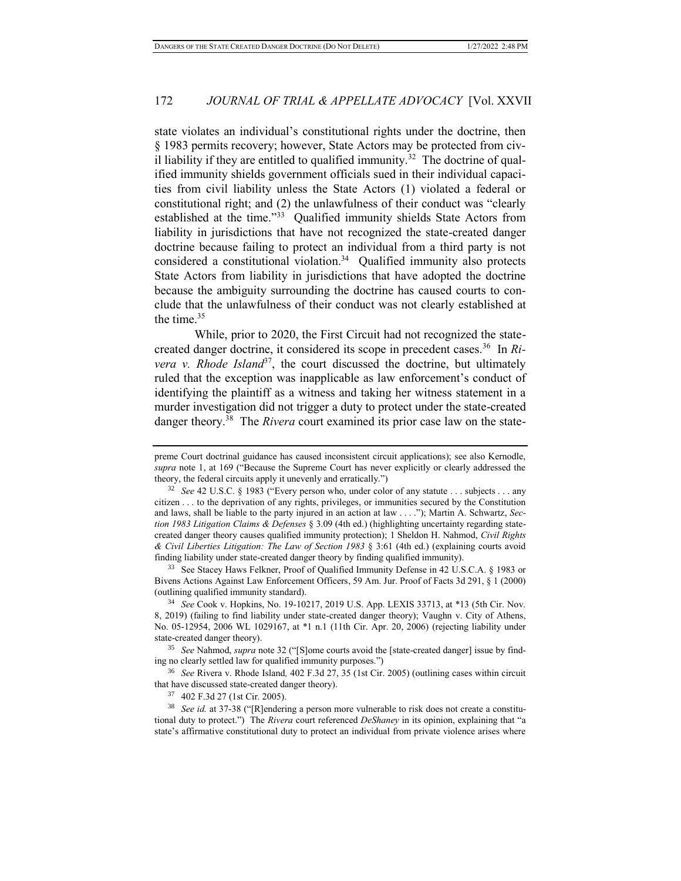state violates an individual's constitutional rights under the doctrine, then § 1983 permits recovery; however, State Actors may be protected from civil liability if they are entitled to qualified immunity.<sup>32</sup> The doctrine of qualified immunity shields government officials sued in their individual capacities from civil liability unless the State Actors (1) violated a federal or constitutional right; and (2) the unlawfulness of their conduct was "clearly established at the time."<sup>33</sup> Qualified immunity shields State Actors from liability in jurisdictions that have not recognized the state-created danger doctrine because failing to protect an individual from a third party is not considered a constitutional violation.<sup>34</sup> Qualified immunity also protects State Actors from liability in jurisdictions that have adopted the doctrine because the ambiguity surrounding the doctrine has caused courts to conclude that the unlawfulness of their conduct was not clearly established at the time.<sup>35</sup>

While, prior to 2020, the First Circuit had not recognized the statecreated danger doctrine, it considered its scope in precedent cases.<sup>36</sup> In *Rivera v. Rhode Island*<sup>37</sup>, the court discussed the doctrine, but ultimately ruled that the exception was inapplicable as law enforcement's conduct of identifying the plaintiff as a witness and taking her witness statement in a murder investigation did not trigger a duty to protect under the state-created danger theory.<sup>38</sup> The *Rivera* court examined its prior case law on the state-

<sup>33</sup> See Stacey Haws Felkner, Proof of Qualified Immunity Defense in 42 U.S.C.A. § 1983 or Bivens Actions Against Law Enforcement Officers, 59 Am. Jur. Proof of Facts 3d 291, § 1 (2000) (outlining qualified immunity standard).

<sup>34</sup> *See* Cook v. Hopkins, No. 19-10217, 2019 U.S. App. LEXIS 33713, at \*13 (5th Cir. Nov. 8, 2019) (failing to find liability under state-created danger theory); Vaughn v. City of Athens, No. 05-12954, 2006 WL 1029167, at \*1 n.1 (11th Cir. Apr. 20, 2006) (rejecting liability under state-created danger theory).

<sup>35</sup> *See* Nahmod, *supra* note 32 ("[S]ome courts avoid the [state-created danger] issue by finding no clearly settled law for qualified immunity purposes.")

<sup>36</sup> *See* Rivera v. Rhode Island*,* 402 F.3d 27, 35 (1st Cir. 2005) (outlining cases within circuit that have discussed state-created danger theory).

<sup>37</sup> 402 F.3d 27 (1st Cir. 2005).

<sup>38</sup> *See id.* at 37-38 ("[R]endering a person more vulnerable to risk does not create a constitutional duty to protect.") The *Rivera* court referenced *DeShaney* in its opinion, explaining that "a state's affirmative constitutional duty to protect an individual from private violence arises where

preme Court doctrinal guidance has caused inconsistent circuit applications); see also Kernodle, *supra* note 1, at 169 ("Because the Supreme Court has never explicitly or clearly addressed the theory, the federal circuits apply it unevenly and erratically.")

<sup>32</sup> *See* 42 U.S.C. § 1983 ("Every person who, under color of any statute . . . subjects . . . any citizen . . . to the deprivation of any rights, privileges, or immunities secured by the Constitution and laws, shall be liable to the party injured in an action at law . . . ."); Martin A. Schwartz, *Section 1983 Litigation Claims & Defenses* § 3.09 (4th ed.) (highlighting uncertainty regarding statecreated danger theory causes qualified immunity protection); 1 Sheldon H. Nahmod, *Civil Rights & Civil Liberties Litigation: The Law of Section 1983* § 3:61 (4th ed.) (explaining courts avoid finding liability under state-created danger theory by finding qualified immunity).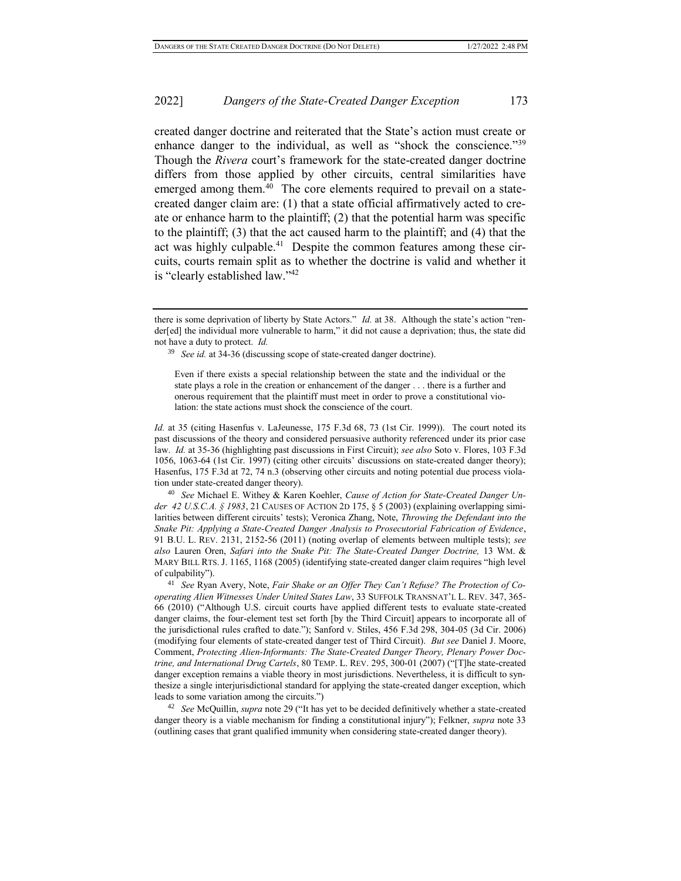created danger doctrine and reiterated that the State's action must create or enhance danger to the individual, as well as "shock the conscience."<sup>39</sup> Though the *Rivera* court's framework for the state-created danger doctrine differs from those applied by other circuits, central similarities have emerged among them.<sup>40</sup> The core elements required to prevail on a statecreated danger claim are: (1) that a state official affirmatively acted to create or enhance harm to the plaintiff; (2) that the potential harm was specific to the plaintiff; (3) that the act caused harm to the plaintiff; and (4) that the act was highly culpable.<sup>41</sup> Despite the common features among these circuits, courts remain split as to whether the doctrine is valid and whether it is "clearly established law."<sup>42</sup>

*Id.* at 35 (citing Hasenfus v. LaJeunesse, 175 F.3d 68, 73 (1st Cir. 1999)). The court noted its past discussions of the theory and considered persuasive authority referenced under its prior case law. *Id.* at 35-36 (highlighting past discussions in First Circuit); *see also* Soto v. Flores, 103 F.3d 1056, 1063-64 (1st Cir. 1997) (citing other circuits' discussions on state-created danger theory); Hasenfus, 175 F.3d at 72, 74 n.3 (observing other circuits and noting potential due process violation under state-created danger theory).

<sup>40</sup> *See* Michael E. Withey & Karen Koehler, *Cause of Action for State-Created Danger Under 42 U.S.C.A. § 1983*, 21 CAUSES OF ACTION 2D 175, § 5 (2003) (explaining overlapping similarities between different circuits' tests); Veronica Zhang, Note, *Throwing the Defendant into the Snake Pit: Applying a State-Created Danger Analysis to Prosecutorial Fabrication of Evidence*, 91 B.U. L. REV. 2131, 2152-56 (2011) (noting overlap of elements between multiple tests); *see also* Lauren Oren, *Safari into the Snake Pit: The State-Created Danger Doctrine,* 13 WM. & MARY BILL RTS. J. 1165, 1168 (2005) (identifying state-created danger claim requires "high level of culpability").

<sup>41</sup> *See* Ryan Avery, Note, *Fair Shake or an Offer They Can't Refuse? The Protection of Cooperating Alien Witnesses Under United States Law*, 33 SUFFOLK TRANSNAT'L L. REV. 347, 365- 66 (2010) ("Although U.S. circuit courts have applied different tests to evaluate state-created danger claims, the four-element test set forth [by the Third Circuit] appears to incorporate all of the jurisdictional rules crafted to date."); Sanford v. Stiles, 456 F.3d 298, 304-05 (3d Cir. 2006) (modifying four elements of state-created danger test of Third Circuit). *But see* Daniel J. Moore, Comment, *Protecting Alien-Informants: The State-Created Danger Theory, Plenary Power Doctrine, and International Drug Cartels*, 80 TEMP. L. REV. 295, 300-01 (2007) ("[T]he state-created danger exception remains a viable theory in most jurisdictions. Nevertheless, it is difficult to synthesize a single interjurisdictional standard for applying the state-created danger exception, which leads to some variation among the circuits.")

<sup>42</sup> *See* McQuillin, *supra* note 29 ("It has yet to be decided definitively whether a state-created danger theory is a viable mechanism for finding a constitutional injury"); Felkner, *supra* note 33 (outlining cases that grant qualified immunity when considering state-created danger theory).

there is some deprivation of liberty by State Actors." *Id.* at 38. Although the state's action "render[ed] the individual more vulnerable to harm," it did not cause a deprivation; thus, the state did not have a duty to protect. *Id.*

<sup>39</sup> *See id.* at 34-36 (discussing scope of state-created danger doctrine).

Even if there exists a special relationship between the state and the individual or the state plays a role in the creation or enhancement of the danger . . . there is a further and onerous requirement that the plaintiff must meet in order to prove a constitutional violation: the state actions must shock the conscience of the court.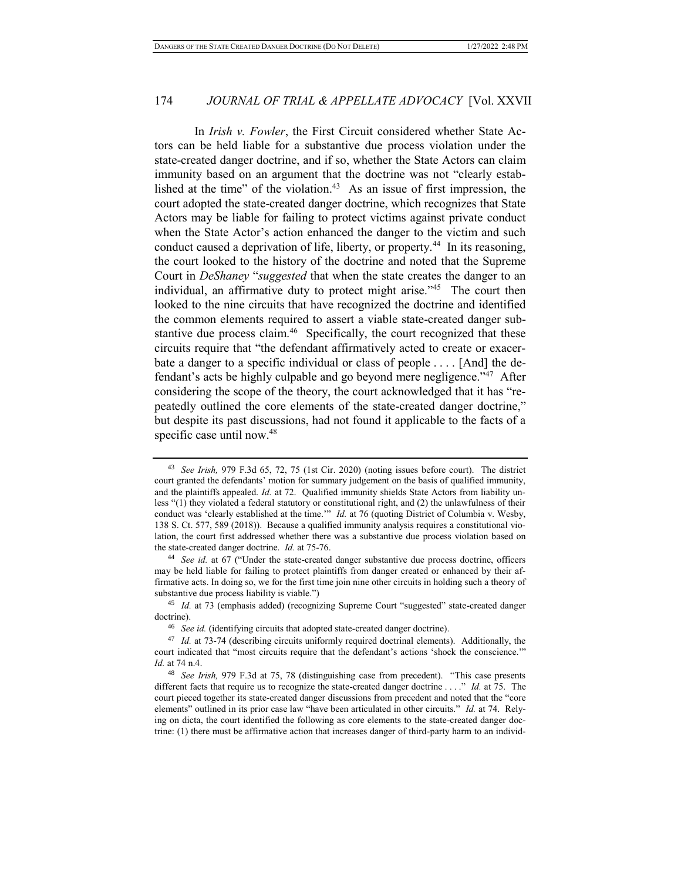In *Irish v. Fowler*, the First Circuit considered whether State Actors can be held liable for a substantive due process violation under the state-created danger doctrine, and if so, whether the State Actors can claim immunity based on an argument that the doctrine was not "clearly established at the time" of the violation. $43$  As an issue of first impression, the court adopted the state-created danger doctrine, which recognizes that State Actors may be liable for failing to protect victims against private conduct when the State Actor's action enhanced the danger to the victim and such conduct caused a deprivation of life, liberty, or property.<sup>44</sup> In its reasoning, the court looked to the history of the doctrine and noted that the Supreme Court in *DeShaney* "*suggested* that when the state creates the danger to an individual, an affirmative duty to protect might arise."<sup>45</sup> The court then looked to the nine circuits that have recognized the doctrine and identified the common elements required to assert a viable state-created danger substantive due process claim.<sup>46</sup> Specifically, the court recognized that these circuits require that "the defendant affirmatively acted to create or exacerbate a danger to a specific individual or class of people . . . . [And] the defendant's acts be highly culpable and go beyond mere negligence."<sup>47</sup> After considering the scope of the theory, the court acknowledged that it has "repeatedly outlined the core elements of the state-created danger doctrine," but despite its past discussions, had not found it applicable to the facts of a specific case until now.<sup>48</sup>

<sup>43</sup> *See Irish,* 979 F.3d 65, 72, 75 (1st Cir. 2020) (noting issues before court). The district court granted the defendants' motion for summary judgement on the basis of qualified immunity, and the plaintiffs appealed. *Id.* at 72. Qualified immunity shields State Actors from liability unless "(1) they violated a federal statutory or constitutional right, and (2) the unlawfulness of their conduct was 'clearly established at the time.'" *Id.* at 76 (quoting District of Columbia v. Wesby, 138 S. Ct. 577, 589 (2018)). Because a qualified immunity analysis requires a constitutional violation, the court first addressed whether there was a substantive due process violation based on the state-created danger doctrine. *Id.* at 75-76.

<sup>44</sup> *See id.* at 67 ("Under the state-created danger substantive due process doctrine, officers may be held liable for failing to protect plaintiffs from danger created or enhanced by their affirmative acts. In doing so, we for the first time join nine other circuits in holding such a theory of substantive due process liability is viable.")

<sup>45</sup> *Id.* at 73 (emphasis added) (recognizing Supreme Court "suggested" state-created danger doctrine).

<sup>46</sup> *See id.* (identifying circuits that adopted state-created danger doctrine).

<sup>47</sup> *Id.* at 73-74 (describing circuits uniformly required doctrinal elements). Additionally, the court indicated that "most circuits require that the defendant's actions 'shock the conscience.'" *Id.* at 74 n.4.

<sup>48</sup> *See Irish,* 979 F.3d at 75, 78 (distinguishing case from precedent). "This case presents different facts that require us to recognize the state-created danger doctrine . . . ." *Id.* at 75. The court pieced together its state-created danger discussions from precedent and noted that the "core elements" outlined in its prior case law "have been articulated in other circuits." *Id.* at 74. Relying on dicta, the court identified the following as core elements to the state-created danger doctrine: (1) there must be affirmative action that increases danger of third-party harm to an individ-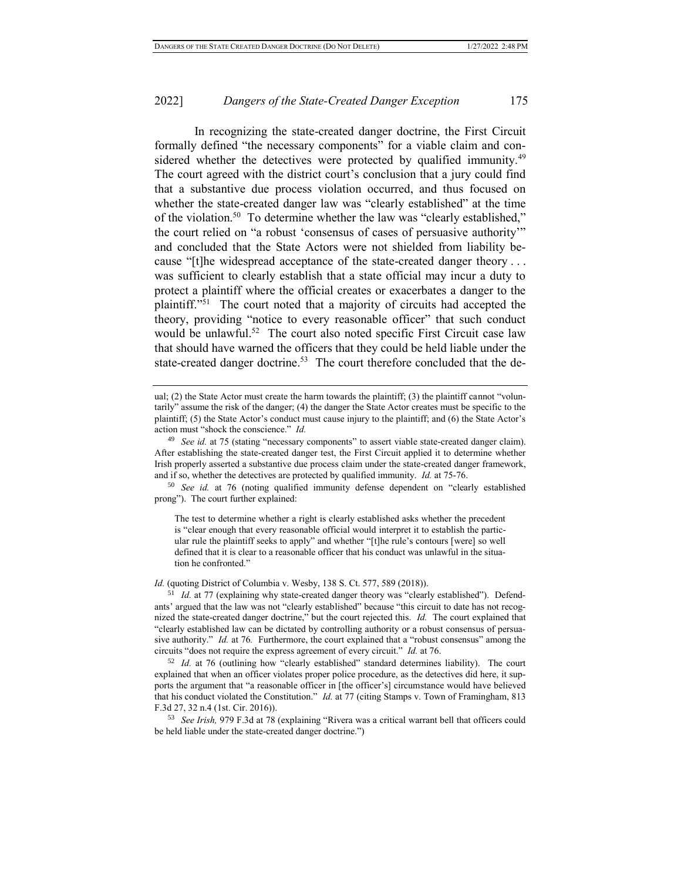In recognizing the state-created danger doctrine, the First Circuit formally defined "the necessary components" for a viable claim and considered whether the detectives were protected by qualified immunity.<sup>49</sup> The court agreed with the district court's conclusion that a jury could find that a substantive due process violation occurred, and thus focused on whether the state-created danger law was "clearly established" at the time of the violation.<sup>50</sup> To determine whether the law was "clearly established," the court relied on "a robust 'consensus of cases of persuasive authority'" and concluded that the State Actors were not shielded from liability because "[t]he widespread acceptance of the state-created danger theory . . . was sufficient to clearly establish that a state official may incur a duty to protect a plaintiff where the official creates or exacerbates a danger to the plaintiff."<sup>51</sup> The court noted that a majority of circuits had accepted the theory, providing "notice to every reasonable officer" that such conduct would be unlawful.<sup>52</sup> The court also noted specific First Circuit case law that should have warned the officers that they could be held liable under the state-created danger doctrine.<sup>53</sup> The court therefore concluded that the de-

<sup>50</sup> *See id.* at 76 (noting qualified immunity defense dependent on "clearly established prong"). The court further explained:

The test to determine whether a right is clearly established asks whether the precedent is "clear enough that every reasonable official would interpret it to establish the particular rule the plaintiff seeks to apply" and whether "[t]he rule's contours [were] so well defined that it is clear to a reasonable officer that his conduct was unlawful in the situation he confronted."

#### *Id.* (quoting District of Columbia v. Wesby, 138 S. Ct. 577, 589 (2018)).

<sup>51</sup> *Id.* at 77 (explaining why state-created danger theory was "clearly established"). Defendants' argued that the law was not "clearly established" because "this circuit to date has not recognized the state-created danger doctrine," but the court rejected this. *Id.* The court explained that "clearly established law can be dictated by controlling authority or a robust consensus of persuasive authority." *Id.* at 76*.* Furthermore, the court explained that a "robust consensus" among the circuits "does not require the express agreement of every circuit." *Id.* at 76.

<sup>52</sup> *Id.* at 76 (outlining how "clearly established" standard determines liability). The court explained that when an officer violates proper police procedure, as the detectives did here, it supports the argument that "a reasonable officer in [the officer's] circumstance would have believed that his conduct violated the Constitution." *Id.* at 77 (citing Stamps v. Town of Framingham, 813 F.3d 27, 32 n.4 (1st. Cir. 2016)).

<sup>53</sup> *See Irish,* 979 F.3d at 78 (explaining "Rivera was a critical warrant bell that officers could be held liable under the state-created danger doctrine.")

ual; (2) the State Actor must create the harm towards the plaintiff; (3) the plaintiff cannot "voluntarily" assume the risk of the danger; (4) the danger the State Actor creates must be specific to the plaintiff; (5) the State Actor's conduct must cause injury to the plaintiff; and (6) the State Actor's action must "shock the conscience." *Id.*

<sup>&</sup>lt;sup>49</sup> *See id.* at 75 (stating "necessary components" to assert viable state-created danger claim). After establishing the state-created danger test, the First Circuit applied it to determine whether Irish properly asserted a substantive due process claim under the state-created danger framework, and if so, whether the detectives are protected by qualified immunity. *Id.* at 75-76.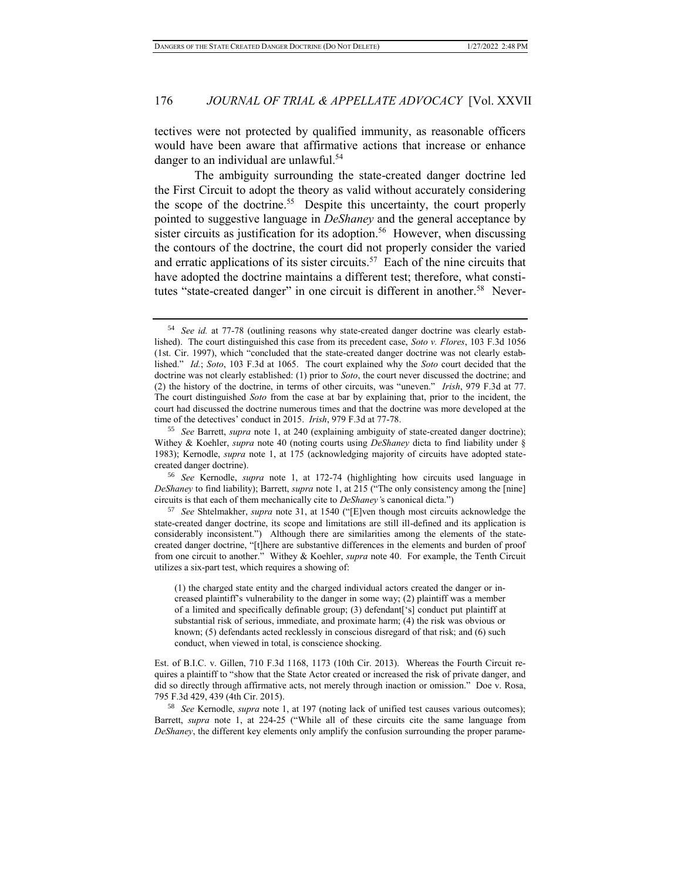tectives were not protected by qualified immunity, as reasonable officers would have been aware that affirmative actions that increase or enhance danger to an individual are unlawful.<sup>54</sup>

The ambiguity surrounding the state-created danger doctrine led the First Circuit to adopt the theory as valid without accurately considering the scope of the doctrine.<sup>55</sup> Despite this uncertainty, the court properly pointed to suggestive language in *DeShaney* and the general acceptance by sister circuits as justification for its adoption.<sup>56</sup> However, when discussing the contours of the doctrine, the court did not properly consider the varied and erratic applications of its sister circuits.<sup>57</sup> Each of the nine circuits that have adopted the doctrine maintains a different test; therefore, what constitutes "state-created danger" in one circuit is different in another.<sup>58</sup> Never-

<sup>57</sup> *See* Shtelmakher, *supra* note 31, at 1540 ("[E]ven though most circuits acknowledge the state-created danger doctrine, its scope and limitations are still ill-defined and its application is considerably inconsistent.") Although there are similarities among the elements of the statecreated danger doctrine, "[t]here are substantive differences in the elements and burden of proof from one circuit to another." Withey & Koehler, *supra* note 40. For example, the Tenth Circuit utilizes a six-part test, which requires a showing of:

(1) the charged state entity and the charged individual actors created the danger or increased plaintiff's vulnerability to the danger in some way; (2) plaintiff was a member of a limited and specifically definable group; (3) defendant['s] conduct put plaintiff at substantial risk of serious, immediate, and proximate harm; (4) the risk was obvious or known; (5) defendants acted recklessly in conscious disregard of that risk; and (6) such conduct, when viewed in total, is conscience shocking.

Est. of B.I.C. v. Gillen, 710 F.3d 1168, 1173 (10th Cir. 2013). Whereas the Fourth Circuit requires a plaintiff to "show that the State Actor created or increased the risk of private danger, and did so directly through affirmative acts, not merely through inaction or omission." Doe v. Rosa, 795 F.3d 429, 439 (4th Cir. 2015).

<sup>58</sup> *See* Kernodle, *supra* note 1, at 197 (noting lack of unified test causes various outcomes); Barrett, *supra* note 1, at 224-25 ("While all of these circuits cite the same language from *DeShaney*, the different key elements only amplify the confusion surrounding the proper parame-

<sup>54</sup> *See id.* at 77-78 (outlining reasons why state-created danger doctrine was clearly established). The court distinguished this case from its precedent case, *Soto v. Flores*, 103 F.3d 1056 (1st. Cir. 1997), which "concluded that the state-created danger doctrine was not clearly established." *Id.*; *Soto*, 103 F.3d at 1065.The court explained why the *Soto* court decided that the doctrine was not clearly established: (1) prior to *Soto*, the court never discussed the doctrine; and (2) the history of the doctrine, in terms of other circuits, was "uneven." *Irish*, 979 F.3d at 77. The court distinguished *Soto* from the case at bar by explaining that, prior to the incident, the court had discussed the doctrine numerous times and that the doctrine was more developed at the time of the detectives' conduct in 2015. *Irish*, 979 F.3d at 77-78.

<sup>55</sup> *See* Barrett, *supra* note 1, at 240 (explaining ambiguity of state-created danger doctrine); Withey & Koehler, *supra* note 40 (noting courts using *DeShaney* dicta to find liability under § 1983); Kernodle, *supra* note 1, at 175 (acknowledging majority of circuits have adopted statecreated danger doctrine).

<sup>56</sup> *See* Kernodle, *supra* note 1, at 172-74 (highlighting how circuits used language in *DeShaney* to find liability); Barrett, *supra* note 1, at 215 ("The only consistency among the [nine] circuits is that each of them mechanically cite to *DeShaney'*s canonical dicta.")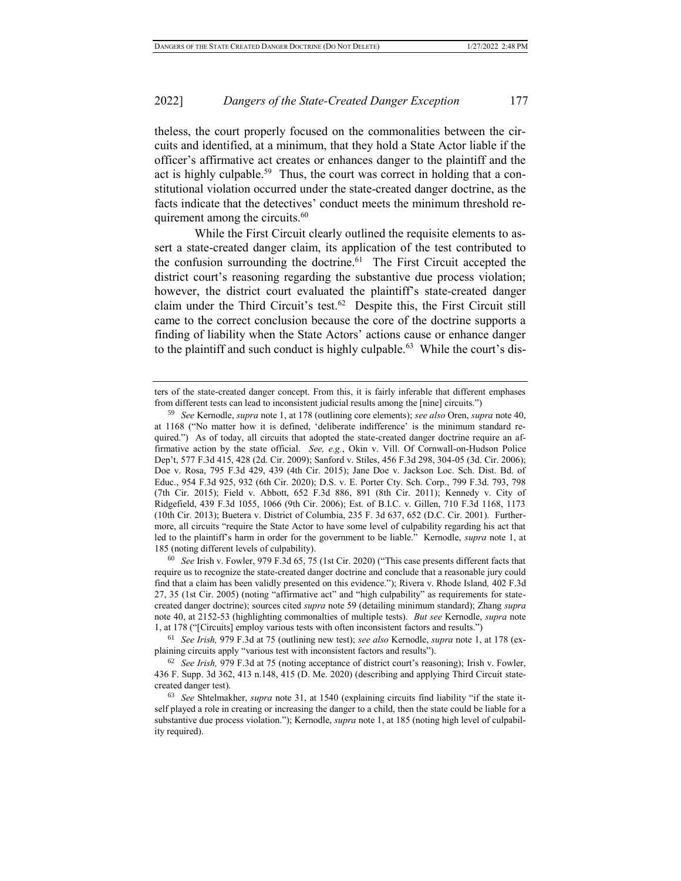theless, the court properly focused on the commonalities between the circuits and identified, at a minimum, that they hold a State Actor liable if the officer's affirmative act creates or enhances danger to the plaintiff and the act is highly culpable.<sup>59</sup> Thus, the court was correct in holding that a constitutional violation occurred under the state-created danger doctrine, as the facts indicate that the detectives' conduct meets the minimum threshold requirement among the circuits. $60$ 

While the First Circuit clearly outlined the requisite elements to assert a state-created danger claim, its application of the test contributed to the confusion surrounding the doctrine. $61$  The First Circuit accepted the district court's reasoning regarding the substantive due process violation; however, the district court evaluated the plaintiff's state-created danger claim under the Third Circuit's test.<sup>62</sup> Despite this, the First Circuit still came to the correct conclusion because the core of the doctrine supports a finding of liability when the State Actors' actions cause or enhance danger to the plaintiff and such conduct is highly culpable.<sup>63</sup> While the court's dis-

<sup>60</sup> *See* Irish v. Fowler, 979 F.3d 65, 75 (1st Cir. 2020) ("This case presents different facts that require us to recognize the state-created danger doctrine and conclude that a reasonable jury could find that a claim has been validly presented on this evidence."); Rivera v. Rhode Island*,* 402 F.3d 27, 35 (1st Cir. 2005) (noting "affirmative act" and "high culpability" as requirements for statecreated danger doctrine); sources cited *supra* note 59 (detailing minimum standard); Zhang *supra* note 40, at 2152-53 (highlighting commonalties of multiple tests). *But see* Kernodle, *supra* note 1, at 178 ("[Circuits] employ various tests with often inconsistent factors and results.")

<sup>61</sup> *See Irish,* 979 F.3d at 75 (outlining new test); *see also* Kernodle, *supra* note 1, at 178 (explaining circuits apply "various test with inconsistent factors and results").

ters of the state-created danger concept. From this, it is fairly inferable that different emphases from different tests can lead to inconsistent judicial results among the [nine] circuits.")

<sup>59</sup> *See* Kernodle, *supra* note 1, at 178 (outlining core elements); *see also* Oren, *supra* note 40, at 1168 ("No matter how it is defined, 'deliberate indifference' is the minimum standard required.") As of today, all circuits that adopted the state-created danger doctrine require an affirmative action by the state official. *See, e.g.*, Okin v. Vill. Of Cornwall-on-Hudson Police Dep't, 577 F.3d 415, 428 (2d. Cir. 2009); Sanford v. Stiles, 456 F.3d 298, 304-05 (3d. Cir. 2006); Doe v. Rosa, 795 F.3d 429, 439 (4th Cir. 2015); Jane Doe v. Jackson Loc. Sch. Dist. Bd. of Educ., 954 F.3d 925, 932 (6th Cir. 2020); D.S. v. E. Porter Cty. Sch. Corp., 799 F.3d. 793, 798 (7th Cir. 2015); Field v. Abbott, 652 F.3d 886, 891 (8th Cir. 2011); Kennedy v. City of Ridgefield, 439 F.3d 1055, 1066 (9th Cir. 2006); Est. of B.I.C. v. Gillen, 710 F.3d 1168, 1173 (10th Cir. 2013); Buetera v. District of Columbia, 235 F. 3d 637, 652 (D.C. Cir. 2001). Furthermore, all circuits "require the State Actor to have some level of culpability regarding his act that led to the plaintiff's harm in order for the government to be liable." Kernodle, *supra* note 1, at 185 (noting different levels of culpability).

<sup>62</sup> *See Irish,* 979 F.3d at 75 (noting acceptance of district court's reasoning); Irish v. Fowler, 436 F. Supp. 3d 362, 413 n.148, 415 (D. Me. 2020) (describing and applying Third Circuit statecreated danger test).

<sup>63</sup> *See* Shtelmakher, *supra* note 31, at 1540 (explaining circuits find liability "if the state itself played a role in creating or increasing the danger to a child, then the state could be liable for a substantive due process violation."); Kernodle, *supra* note 1, at 185 (noting high level of culpability required).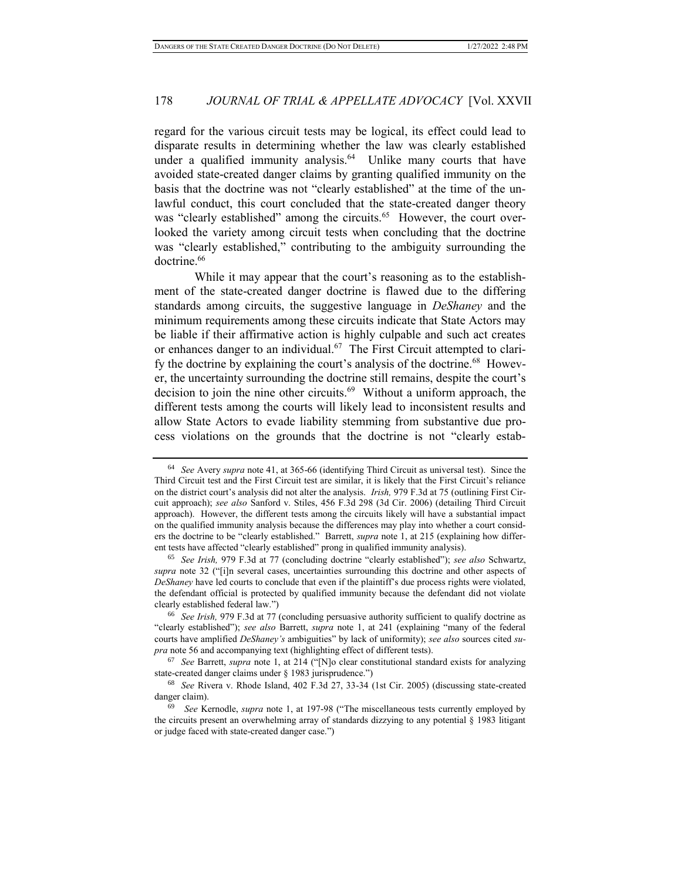regard for the various circuit tests may be logical, its effect could lead to disparate results in determining whether the law was clearly established under a qualified immunity analysis.<sup>64</sup> Unlike many courts that have avoided state-created danger claims by granting qualified immunity on the basis that the doctrine was not "clearly established" at the time of the unlawful conduct, this court concluded that the state-created danger theory was "clearly established" among the circuits.<sup>65</sup> However, the court overlooked the variety among circuit tests when concluding that the doctrine was "clearly established," contributing to the ambiguity surrounding the doctrine.<sup>66</sup>

While it may appear that the court's reasoning as to the establishment of the state-created danger doctrine is flawed due to the differing standards among circuits, the suggestive language in *DeShaney* and the minimum requirements among these circuits indicate that State Actors may be liable if their affirmative action is highly culpable and such act creates or enhances danger to an individual.<sup>67</sup> The First Circuit attempted to clarify the doctrine by explaining the court's analysis of the doctrine.<sup>68</sup> However, the uncertainty surrounding the doctrine still remains, despite the court's decision to join the nine other circuits.<sup>69</sup> Without a uniform approach, the different tests among the courts will likely lead to inconsistent results and allow State Actors to evade liability stemming from substantive due process violations on the grounds that the doctrine is not "clearly estab-

<sup>64</sup> *See* Avery *supra* note 41, at 365-66 (identifying Third Circuit as universal test). Since the Third Circuit test and the First Circuit test are similar, it is likely that the First Circuit's reliance on the district court's analysis did not alter the analysis. *Irish,* 979 F.3d at 75 (outlining First Circuit approach); *see also* Sanford v. Stiles, 456 F.3d 298 (3d Cir. 2006) (detailing Third Circuit approach). However, the different tests among the circuits likely will have a substantial impact on the qualified immunity analysis because the differences may play into whether a court considers the doctrine to be "clearly established." Barrett, *supra* note 1, at 215 (explaining how different tests have affected "clearly established" prong in qualified immunity analysis).

<sup>65</sup> *See Irish,* 979 F.3d at 77 (concluding doctrine "clearly established"); *see also* Schwartz, *supra* note 32 ("[i]n several cases, uncertainties surrounding this doctrine and other aspects of *DeShaney* have led courts to conclude that even if the plaintiff's due process rights were violated, the defendant official is protected by qualified immunity because the defendant did not violate clearly established federal law.")

<sup>66</sup> *See Irish,* 979 F.3d at 77 (concluding persuasive authority sufficient to qualify doctrine as "clearly established"); *see also* Barrett, *supra* note 1, at 241 (explaining "many of the federal courts have amplified *DeShaney's* ambiguities" by lack of uniformity); *see also* sources cited *supra* note 56 and accompanying text (highlighting effect of different tests).

<sup>67</sup> *See* Barrett, *supra* note 1, at 214 ("[N]o clear constitutional standard exists for analyzing state-created danger claims under § 1983 jurisprudence.")

<sup>68</sup> *See* Rivera v. Rhode Island, 402 F.3d 27, 33-34 (1st Cir. 2005) (discussing state-created danger claim).

<sup>69</sup> *See* Kernodle, *supra* note 1, at 197-98 ("The miscellaneous tests currently employed by the circuits present an overwhelming array of standards dizzying to any potential  $\S$  1983 litigant or judge faced with state-created danger case.")